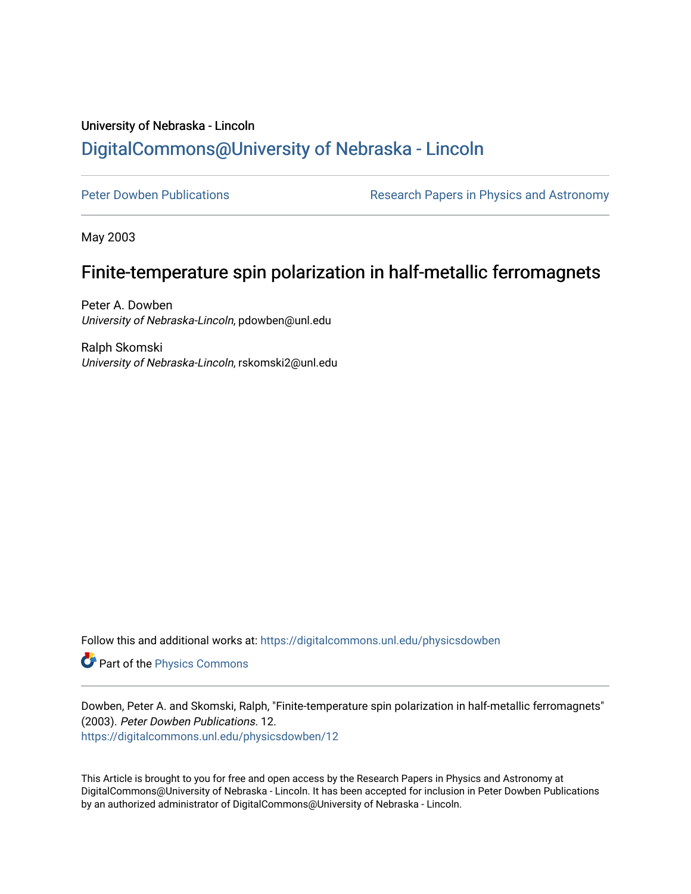# University of Nebraska - Lincoln [DigitalCommons@University of Nebraska - Lincoln](https://digitalcommons.unl.edu/)

[Peter Dowben Publications](https://digitalcommons.unl.edu/physicsdowben) **Research Papers in Physics and Astronomy** 

May 2003

# Finite-temperature spin polarization in half-metallic ferromagnets

Peter A. Dowben University of Nebraska-Lincoln, pdowben@unl.edu

Ralph Skomski University of Nebraska-Lincoln, rskomski2@unl.edu

Follow this and additional works at: [https://digitalcommons.unl.edu/physicsdowben](https://digitalcommons.unl.edu/physicsdowben?utm_source=digitalcommons.unl.edu%2Fphysicsdowben%2F12&utm_medium=PDF&utm_campaign=PDFCoverPages) 

Part of the [Physics Commons](http://network.bepress.com/hgg/discipline/193?utm_source=digitalcommons.unl.edu%2Fphysicsdowben%2F12&utm_medium=PDF&utm_campaign=PDFCoverPages)

Dowben, Peter A. and Skomski, Ralph, "Finite-temperature spin polarization in half-metallic ferromagnets" (2003). Peter Dowben Publications. 12.

[https://digitalcommons.unl.edu/physicsdowben/12](https://digitalcommons.unl.edu/physicsdowben/12?utm_source=digitalcommons.unl.edu%2Fphysicsdowben%2F12&utm_medium=PDF&utm_campaign=PDFCoverPages)

This Article is brought to you for free and open access by the Research Papers in Physics and Astronomy at DigitalCommons@University of Nebraska - Lincoln. It has been accepted for inclusion in Peter Dowben Publications by an authorized administrator of DigitalCommons@University of Nebraska - Lincoln.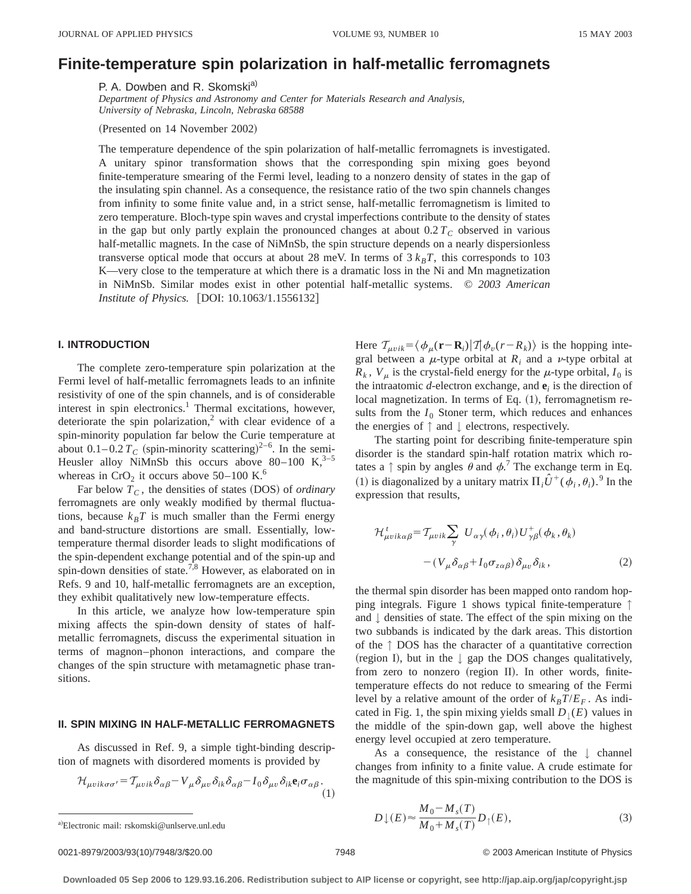## **Finite-temperature spin polarization in half-metallic ferromagnets**

P. A. Dowben and R. Skomski<sup>a)</sup>

*Department of Physics and Astronomy and Center for Materials Research and Analysis, University of Nebraska, Lincoln, Nebraska 68588*

(Presented on 14 November 2002)

The temperature dependence of the spin polarization of half-metallic ferromagnets is investigated. A unitary spinor transformation shows that the corresponding spin mixing goes beyond finite-temperature smearing of the Fermi level, leading to a nonzero density of states in the gap of the insulating spin channel. As a consequence, the resistance ratio of the two spin channels changes from infinity to some finite value and, in a strict sense, half-metallic ferromagnetism is limited to zero temperature. Bloch-type spin waves and crystal imperfections contribute to the density of states in the gap but only partly explain the pronounced changes at about  $0.2 T_C$  observed in various half-metallic magnets. In the case of NiMnSb, the spin structure depends on a nearly dispersionless transverse optical mode that occurs at about 28 meV. In terms of  $3 k<sub>B</sub>T$ , this corresponds to 103 K—very close to the temperature at which there is a dramatic loss in the Ni and Mn magnetization in NiMnSb. Similar modes exist in other potential half-metallic systems. © *2003 American Institute of Physics.* [DOI: 10.1063/1.1556132]

#### **I. INTRODUCTION**

The complete zero-temperature spin polarization at the Fermi level of half-metallic ferromagnets leads to an infinite resistivity of one of the spin channels, and is of considerable interest in spin electronics.<sup>1</sup> Thermal excitations, however, deteriorate the spin polarization,<sup>2</sup> with clear evidence of a spin-minority population far below the Curie temperature at about  $0.1 - 0.2 T_C$  (spin-minority scattering)<sup>2-6</sup>. In the semi-Heusler alloy NiMnSb this occurs above 80–100 K, $3-5$ whereas in  $CrO<sub>2</sub>$  it occurs above 50–100 K.<sup>6</sup>

Far below  $T_c$ , the densities of states (DOS) of *ordinary* ferromagnets are only weakly modified by thermal fluctuations, because  $k_B T$  is much smaller than the Fermi energy and band-structure distortions are small. Essentially, lowtemperature thermal disorder leads to slight modifications of the spin-dependent exchange potential and of the spin-up and spin-down densities of state.<sup>7,8</sup> However, as elaborated on in Refs. 9 and 10, half-metallic ferromagnets are an exception, they exhibit qualitatively new low-temperature effects.

In this article, we analyze how low-temperature spin mixing affects the spin-down density of states of halfmetallic ferromagnets, discuss the experimental situation in terms of magnon–phonon interactions, and compare the changes of the spin structure with metamagnetic phase transitions.

#### **II. SPIN MIXING IN HALF-METALLIC FERROMAGNETS**

As discussed in Ref. 9, a simple tight-binding description of magnets with disordered moments is provided by

$$
\mathcal{H}_{\mu\nu i k \sigma \sigma'} = \mathcal{T}_{\mu\nu i k} \delta_{\alpha\beta} - V_{\mu} \delta_{\mu\nu} \delta_{ik} \delta_{\alpha\beta} - I_0 \delta_{\mu\nu} \delta_{ik} \mathbf{e}_i \sigma_{\alpha\beta}.
$$
\n(1)

Here  $\mathcal{T}_{\mu\nu i k} = \langle \phi_{\mu}(\mathbf{r}-\mathbf{R}_i) | T | \phi_{\nu}(\mathbf{r}-\mathbf{R}_k) \rangle$  is the hopping integral between a  $\mu$ -type orbital at  $R_i$  and a  $\nu$ -type orbital at  $R_k$ ,  $V_\mu$  is the crystal-field energy for the  $\mu$ -type orbital,  $I_0$  is the intraatomic *d*-electron exchange, and **e***<sup>i</sup>* is the direction of local magnetization. In terms of Eq.  $(1)$ , ferromagnetism results from the  $I_0$  Stoner term, which reduces and enhances the energies of  $\uparrow$  and  $\downarrow$  electrons, respectively.

The starting point for describing finite-temperature spin disorder is the standard spin-half rotation matrix which rotates a  $\uparrow$  spin by angles  $\theta$  and  $\phi$ .<sup>7</sup> The exchange term in Eq. (1) is diagonalized by a unitary matrix  $\Pi_i \hat{U}^+(\phi_i, \theta_i)$ .<sup>9</sup> In the expression that results,

$$
\mathcal{H}^{t}_{\mu\nu i k \alpha \beta} = \mathcal{T}_{\mu\nu i k} \sum_{\gamma} U_{\alpha \gamma}(\phi_{i}, \theta_{i}) U^{+}_{\gamma \beta}(\phi_{k}, \theta_{k})
$$

$$
- (V_{\mu} \delta_{\alpha \beta} + I_{0} \sigma_{z \alpha \beta}) \delta_{\mu\nu} \delta_{ik}, \qquad (2)
$$

the thermal spin disorder has been mapped onto random hopping integrals. Figure 1 shows typical finite-temperature ↑ and ↓ densities of state. The effect of the spin mixing on the two subbands is indicated by the dark areas. This distortion of the ↑ DOS has the character of a quantitative correction (region I), but in the  $\downarrow$  gap the DOS changes qualitatively, from zero to nonzero (region II). In other words, finitetemperature effects do not reduce to smearing of the Fermi level by a relative amount of the order of  $k_B T/E_F$ . As indicated in Fig. 1, the spin mixing yields small  $D_{\perp}(E)$  values in the middle of the spin-down gap, well above the highest energy level occupied at zero temperature.

As a consequence, the resistance of the  $\downarrow$  channel changes from infinity to a finite value. A crude estimate for the magnitude of this spin-mixing contribution to the DOS is

$$
D \downarrow(E) \approx \frac{M_0 - M_s(T)}{M_0 + M_s(T)} D_{\uparrow}(E),
$$
\n(3)

0021-8979/2003/93(10)/7948/3/\$20.00 © 2003 American Institute of Physics 7948

**Downloaded 05 Sep 2006 to 129.93.16.206. Redistribution subject to AIP license or copyright, see http://jap.aip.org/jap/copyright.jsp**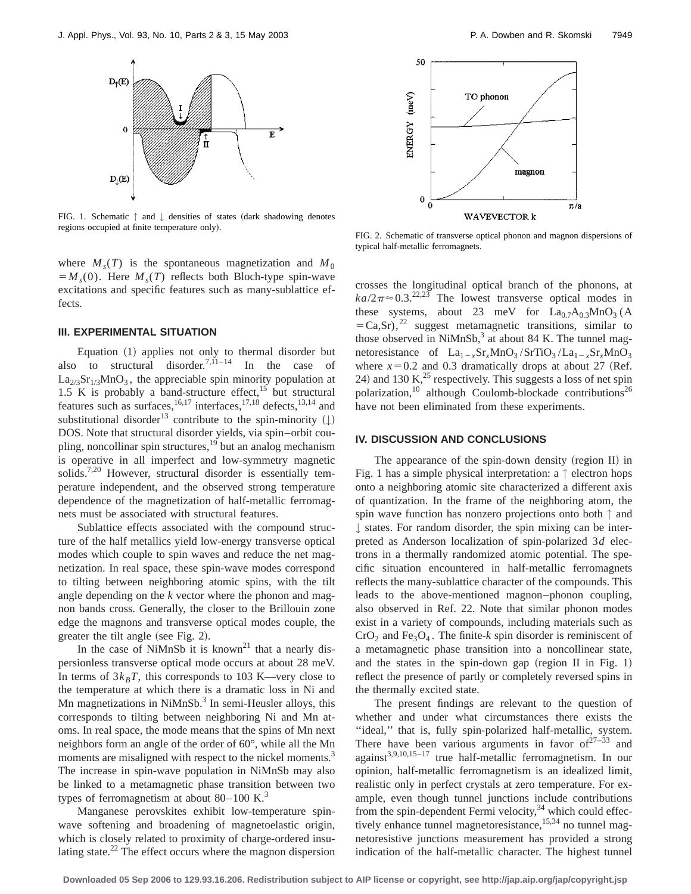

FIG. 1. Schematic  $\uparrow$  and  $\downarrow$  densities of states (dark shadowing denotes regions occupied at finite temperature only).

where  $M_s(T)$  is the spontaneous magnetization and  $M_0$  $=M<sub>s</sub>(0)$ . Here  $M<sub>s</sub>(T)$  reflects both Bloch-type spin-wave excitations and specific features such as many-sublattice effects.

### **III. EXPERIMENTAL SITUATION**

Equation (1) applies not only to thermal disorder but also to structural disorder.<sup>7,11–14</sup> In the case of  $La<sub>2/3</sub>Sr<sub>1/3</sub>MnO<sub>3</sub>$ , the appreciable spin minority population at 1.5 K is probably a band-structure effect,<sup>15</sup> but structural features such as surfaces,<sup>16,17</sup> interfaces,<sup>17,18</sup> defects,<sup>13,14</sup> and substitutional disorder<sup>13</sup> contribute to the spin-minority  $( \downarrow )$ DOS. Note that structural disorder yields, via spin–orbit coupling, noncollinar spin structures,<sup>19</sup> but an analog mechanism is operative in all imperfect and low-symmetry magnetic solids.<sup>7,20</sup> However, structural disorder is essentially temperature independent, and the observed strong temperature dependence of the magnetization of half-metallic ferromagnets must be associated with structural features.

Sublattice effects associated with the compound structure of the half metallics yield low-energy transverse optical modes which couple to spin waves and reduce the net magnetization. In real space, these spin-wave modes correspond to tilting between neighboring atomic spins, with the tilt angle depending on the *k* vector where the phonon and magnon bands cross. Generally, the closer to the Brillouin zone edge the magnons and transverse optical modes couple, the greater the tilt angle (see Fig.  $2$ ).

In the case of NiMnSb it is known<sup>21</sup> that a nearly dispersionless transverse optical mode occurs at about 28 meV. In terms of  $3k_BT$ , this corresponds to 103 K—very close to the temperature at which there is a dramatic loss in Ni and Mn magnetizations in  $NiMnSb<sup>3</sup>$  In semi-Heusler alloys, this corresponds to tilting between neighboring Ni and Mn atoms. In real space, the mode means that the spins of Mn next neighbors form an angle of the order of 60°, while all the Mn moments are misaligned with respect to the nickel moments.<sup>3</sup> The increase in spin-wave population in NiMnSb may also be linked to a metamagnetic phase transition between two types of ferromagnetism at about  $80-100$  K.<sup>3</sup>

Manganese perovskites exhibit low-temperature spinwave softening and broadening of magnetoelastic origin, which is closely related to proximity of charge-ordered insulating state.<sup>22</sup> The effect occurs where the magnon dispersion



FIG. 2. Schematic of transverse optical phonon and magnon dispersions of typical half-metallic ferromagnets.

crosses the longitudinal optical branch of the phonons, at  $ka/2\pi \approx 0.3$ <sup>22,23</sup> The lowest transverse optical modes in these systems, about 23 meV for  $La_{0.7}A_{0.3}MnO_3$  (A  $=Ca,Sr$ ,<sup>22</sup> suggest metamagnetic transitions, similar to those observed in  $NiMnSb$ ,<sup>3</sup> at about 84 K. The tunnel magnetoresistance of  $La_{1-x}Sr_xMnO_3 / SrTiO_3 / La_{1-x}Sr_xMnO_3$ where  $x=0.2$  and 0.3 dramatically drops at about 27 (Ref. 24) and 130 K, $^{25}$  respectively. This suggests a loss of net spin polarization,<sup>10</sup> although Coulomb-blockade contributions<sup>26</sup> have not been eliminated from these experiments.

#### **IV. DISCUSSION AND CONCLUSIONS**

The appearance of the spin-down density (region II) in Fig. 1 has a simple physical interpretation: a  $\uparrow$  electron hops onto a neighboring atomic site characterized a different axis of quantization. In the frame of the neighboring atom, the spin wave function has nonzero projections onto both ↑ and ↓ states. For random disorder, the spin mixing can be interpreted as Anderson localization of spin-polarized 3*d* electrons in a thermally randomized atomic potential. The specific situation encountered in half-metallic ferromagnets reflects the many-sublattice character of the compounds. This leads to the above-mentioned magnon–phonon coupling, also observed in Ref. 22. Note that similar phonon modes exist in a variety of compounds, including materials such as  $CrO<sub>2</sub>$  and Fe<sub>3</sub>O<sub>4</sub>. The finite-*k* spin disorder is reminiscent of a metamagnetic phase transition into a noncollinear state, and the states in the spin-down gap (region II in Fig. 1) reflect the presence of partly or completely reversed spins in the thermally excited state.

The present findings are relevant to the question of whether and under what circumstances there exists the "ideal," that is, fully spin-polarized half-metallic, system. There have been various arguments in favor of  $27-33$  and against<sup>3,9,10,15–17</sup> true half-metallic ferromagnetism. In our opinion, half-metallic ferromagnetism is an idealized limit, realistic only in perfect crystals at zero temperature. For example, even though tunnel junctions include contributions from the spin-dependent Fermi velocity, $34$  which could effectively enhance tunnel magnetoresistance,  $15,34$  no tunnel magnetoresistive junctions measurement has provided a strong indication of the half-metallic character. The highest tunnel